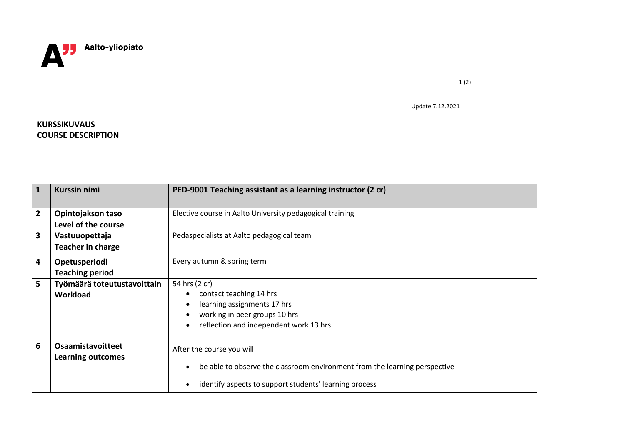

Update 7.12.2021

1 (2)

## **KURSSIKUVAUS COURSE DESCRIPTION**

| $\mathbf{1}$            | <b>Kurssin nimi</b>                           | PED-9001 Teaching assistant as a learning instructor (2 cr)                                                                                                       |
|-------------------------|-----------------------------------------------|-------------------------------------------------------------------------------------------------------------------------------------------------------------------|
| $\overline{2}$          | Opintojakson taso<br>Level of the course      | Elective course in Aalto University pedagogical training                                                                                                          |
| $\overline{\mathbf{3}}$ | Vastuuopettaja<br><b>Teacher in charge</b>    | Pedaspecialists at Aalto pedagogical team                                                                                                                         |
| 4                       | Opetusperiodi<br><b>Teaching period</b>       | Every autumn & spring term                                                                                                                                        |
| 5                       | Työmäärä toteutustavoittain<br>Workload       | 54 hrs (2 cr)<br>contact teaching 14 hrs<br>learning assignments 17 hrs<br>working in peer groups 10 hrs<br>reflection and independent work 13 hrs                |
| 6                       | <b>Osaamistavoitteet</b><br>Learning outcomes | After the course you will<br>be able to observe the classroom environment from the learning perspective<br>identify aspects to support students' learning process |